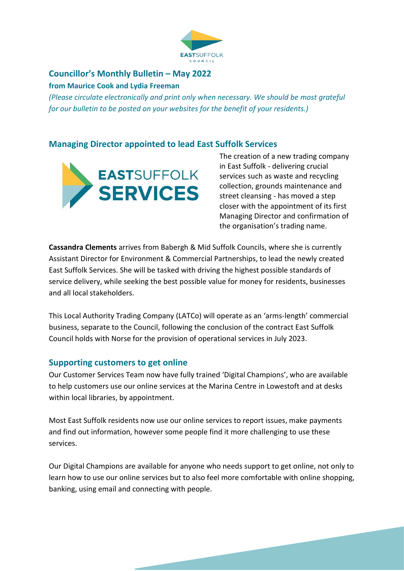

#### **Councillor's Monthly Bulletin – May 2022 from Maurice Cook and Lydia Freeman**

*(Please circulate electronically and print only when necessary. We should be most grateful for our bulletin to be posted on your websites for the benefit of your residents.)*

#### **Managing Director appointed to lead East Suffolk Services**



The creation of a new trading company in East Suffolk - delivering crucial services such as waste and recycling collection, grounds maintenance and street cleansing - has moved a step closer with the appointment of its first Managing Director and confirmation of the organisation's trading name.

**Cassandra Clements** arrives from Babergh & Mid Suffolk Councils, where she is currently Assistant Director for Environment & Commercial Partnerships, to lead the newly created East Suffolk Services. She will be tasked with driving the highest possible standards of service delivery, while seeking the best possible value for money for residents, businesses and all local stakeholders.

This Local Authority Trading Company (LATCo) will operate as an 'arms-length' commercial business, separate to the Council, following the conclusion of the contract East Suffolk Council holds with Norse for the provision of operational services in July 2023.

### **Supporting customers to get online**

Our Customer Services Team now have fully trained 'Digital Champions', who are available to help customers use our online services at the Marina Centre in Lowestoft and at desks within local libraries, by appointment.

Most East Suffolk residents now use our online services to report issues, make payments and find out information, however some people find it more challenging to use these services.

Our Digital Champions are available for anyone who needs support to get online, not only to learn how to use our online services but to also feel more comfortable with online shopping, banking, using email and connecting with people.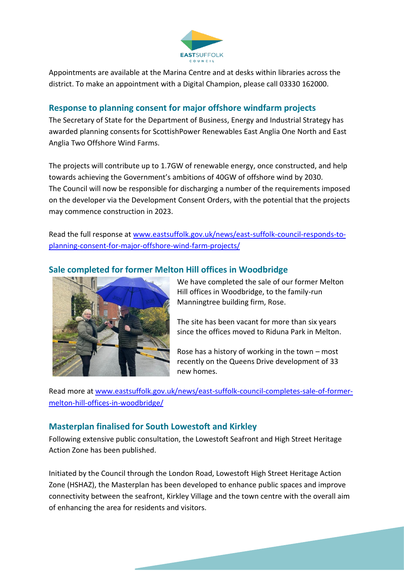

Appointments are available at the Marina Centre and at desks within libraries across the district. To make an appointment with a Digital Champion, please call 03330 162000.

#### **Response to planning consent for major offshore windfarm projects**

The Secretary of State for the Department of Business, Energy and Industrial Strategy has awarded planning consents for ScottishPower Renewables East Anglia One North and East Anglia Two Offshore Wind Farms.

The projects will contribute up to 1.7GW of renewable energy, once constructed, and help towards achieving the Government's ambitions of 40GW of offshore wind by 2030. The Council will now be responsible for discharging a number of the requirements imposed on the developer via the Development Consent Orders, with the potential that the projects may commence construction in 2023.

Read the full response at [www.eastsuffolk.gov.uk/news/east-suffolk-council-responds-to](http://www.eastsuffolk.gov.uk/news/east-suffolk-council-responds-to-planning-consent-for-major-offshore-wind-farm-projects/)[planning-consent-for-major-offshore-wind-farm-projects/](http://www.eastsuffolk.gov.uk/news/east-suffolk-council-responds-to-planning-consent-for-major-offshore-wind-farm-projects/)

### **Sale completed for former Melton Hill offices in Woodbridge**



We have completed the sale of our former Melton Hill offices in Woodbridge, to the family-run Manningtree building firm, Rose.

The site has been vacant for more than six years since the offices moved to Riduna Park in Melton.

Rose has a history of working in the town – most recently on the Queens Drive development of 33 new homes.

Read more at [www.eastsuffolk.gov.uk/news/east-suffolk-council-completes-sale-of-former](http://www.eastsuffolk.gov.uk/news/east-suffolk-council-completes-sale-of-former-melton-hill-offices-in-woodbridge/)[melton-hill-offices-in-woodbridge/](http://www.eastsuffolk.gov.uk/news/east-suffolk-council-completes-sale-of-former-melton-hill-offices-in-woodbridge/)

### **Masterplan finalised for South Lowestoft and Kirkley**

Following extensive public consultation, the Lowestoft Seafront and High Street Heritage Action Zone has been published.

Initiated by the Council through the London Road, Lowestoft High Street Heritage Action Zone (HSHAZ), the Masterplan has been developed to enhance public spaces and improve connectivity between the seafront, Kirkley Village and the town centre with the overall aim of enhancing the area for residents and visitors.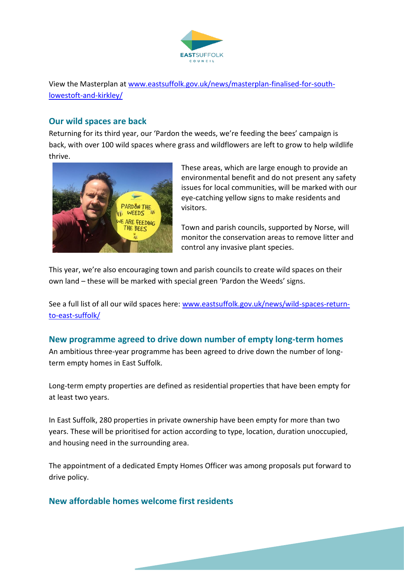

View the Masterplan at [www.eastsuffolk.gov.uk/news/masterplan-finalised-for-south](http://www.eastsuffolk.gov.uk/news/masterplan-finalised-for-south-lowestoft-and-kirkley/)[lowestoft-and-kirkley/](http://www.eastsuffolk.gov.uk/news/masterplan-finalised-for-south-lowestoft-and-kirkley/)

### **Our wild spaces are back**

Returning for its third year, our 'Pardon the weeds, we're feeding the bees' campaign is back, with over 100 wild spaces where grass and wildflowers are left to grow to help wildlife thrive.



These areas, which are large enough to provide an environmental benefit and do not present any safety issues for local communities, will be marked with our eye-catching yellow signs to make residents and visitors.

Town and parish councils, supported by Norse, will monitor the conservation areas to remove litter and control any invasive plant species.

This year, we're also encouraging town and parish councils to create wild spaces on their own land – these will be marked with special green 'Pardon the Weeds' signs.

See a full list of all our wild spaces here: [www.eastsuffolk.gov.uk/news/wild-spaces-return](http://www.eastsuffolk.gov.uk/news/wild-spaces-return-to-east-suffolk/)[to-east-suffolk/](http://www.eastsuffolk.gov.uk/news/wild-spaces-return-to-east-suffolk/)

## **New programme agreed to drive down number of empty long-term homes**

An ambitious three-year programme has been agreed to drive down the number of longterm empty homes in East Suffolk.

Long-term empty properties are defined as residential properties that have been empty for at least two years.

In East Suffolk, 280 properties in private ownership have been empty for more than two years. These will be prioritised for action according to type, location, duration unoccupied, and housing need in the surrounding area.

The appointment of a dedicated Empty Homes Officer was among proposals put forward to drive policy.

### **New affordable homes welcome first residents**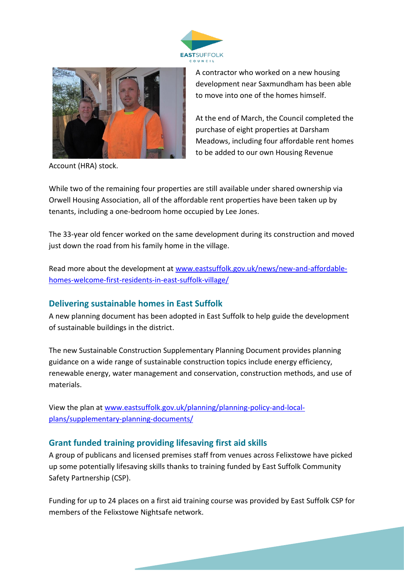



Account (HRA) stock.

A contractor who worked on a new housing development near Saxmundham has been able to move into one of the homes himself.

At the end of March, the Council completed the purchase of eight properties at Darsham Meadows, including four affordable rent homes to be added to our own Housing Revenue

While two of the remaining four properties are still available under shared ownership via Orwell Housing Association, all of the affordable rent properties have been taken up by tenants, including a one-bedroom home occupied by Lee Jones.

The 33-year old fencer worked on the same development during its construction and moved just down the road from his family home in the village.

Read more about the development at [www.eastsuffolk.gov.uk/news/new-and-affordable](http://www.eastsuffolk.gov.uk/news/new-and-affordable-homes-welcome-first-residents-in-east-suffolk-village/)[homes-welcome-first-residents-in-east-suffolk-village/](http://www.eastsuffolk.gov.uk/news/new-and-affordable-homes-welcome-first-residents-in-east-suffolk-village/)

### **Delivering sustainable homes in East Suffolk**

A new planning document has been adopted in East Suffolk to help guide the development of sustainable buildings in the district.

The new Sustainable Construction Supplementary Planning Document provides planning guidance on a wide range of sustainable construction topics include energy efficiency, renewable energy, water management and conservation, construction methods, and use of materials.

View the plan at [www.eastsuffolk.gov.uk/planning/planning-policy-and-local](http://www.eastsuffolk.gov.uk/planning/planning-policy-and-local-plans/supplementary-planning-documents/)[plans/supplementary-planning-documents/](http://www.eastsuffolk.gov.uk/planning/planning-policy-and-local-plans/supplementary-planning-documents/)

### **Grant funded training providing lifesaving first aid skills**

A group of publicans and licensed premises staff from venues across Felixstowe have picked up some potentially lifesaving skills thanks to training funded by East Suffolk Community Safety Partnership (CSP).

Funding for up to 24 places on a first aid training course was provided by East Suffolk CSP for members of the Felixstowe Nightsafe network.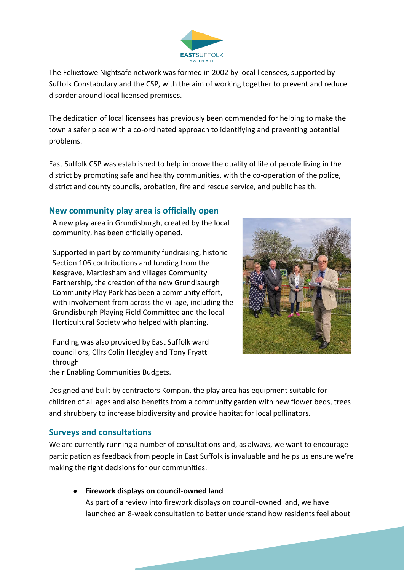

The Felixstowe Nightsafe network was formed in 2002 by local licensees, supported by Suffolk Constabulary and the CSP, with the aim of working together to prevent and reduce disorder around local licensed premises.

The dedication of local licensees has previously been commended for helping to make the town a safer place with a co-ordinated approach to identifying and preventing potential problems.

East Suffolk CSP was established to help improve the quality of life of people living in the district by promoting safe and healthy communities, with the co-operation of the police, district and county councils, probation, fire and rescue service, and public health.

#### **New community play area is officially open**

A new play area in Grundisburgh, created by the local community, has been officially opened.

Supported in part by community fundraising, historic Section 106 contributions and funding from the Kesgrave, Martlesham and villages Community Partnership, the creation of the new Grundisburgh Community Play Park has been a community effort, with involvement from across the village, including the Grundisburgh Playing Field Committee and the local Horticultural Society who helped with planting.



Funding was also provided by East Suffolk ward councillors, Cllrs Colin Hedgley and Tony Fryatt through their Enabling Communities Budgets.

Designed and built by contractors Kompan, the play area has equipment suitable for children of all ages and also benefits from a community garden with new flower beds, trees and shrubbery to increase biodiversity and provide habitat for local pollinators.

#### **Surveys and consultations**

We are currently running a number of consultations and, as always, we want to encourage participation as feedback from people in East Suffolk is invaluable and helps us ensure we're making the right decisions for our communities.

• **Firework displays on council-owned land**

As part of a review into firework displays on council-owned land, we have launched an 8-week consultation to better understand how residents feel about